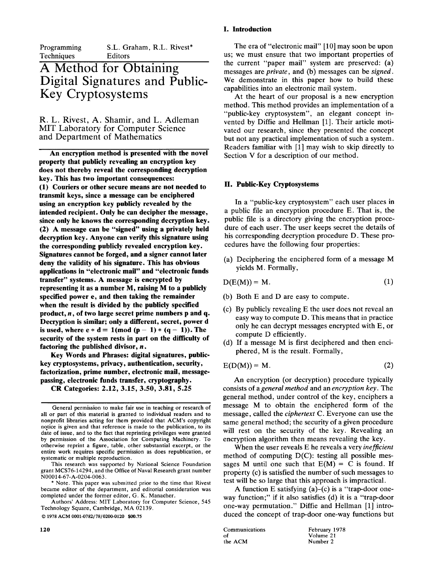Programming **Techniques** S.L. Graham, R.L. Rivest\* Editors

# **A Method for Obtaining Digital Signatures and Public-Key Cryptosystems**

R. L. Rivest, A. Shamir, and L. Adleman MIT Laboratory for Computer Science and Department of Mathematics

**An encryption method is presented with the novel property that publicly revealing an encryption key does not thereby reveal the corresponding decryption key. This has two important consequences: (1) Couriers or other secure means are not needed to transmit keys, since a message can be enciphered using an encryption key publicly revealed by the intended recipient. Only he can decipher the message, since only he knows the corresponding decryption key. (2) A message can be "signed" using a privately held decryption key. Anyone can verify this signature using the corresponding publicly revealed encryption key. Signatures cannot be forged, and a signer cannot later deny the validity of his signature. This has obvious applications in "electronic mail" and "electronic funds transfer" systems. A message is encrypted by representing it as a number M, raising M to a publicly specified power e, and then taking the remainder when the result is divided by the publicly specified product, n, of two large secret prime numbers p and q. Decryption is similar; only a different, secret, power d**  is used, where  $e * d = 1 \pmod{(p-1) * (q-1)}$ . The **security of the system rests in part on the difficulty of factoring the published divisor, n.** 

**Key Words and Phrases: digital signatures, publickey cryptosystems, privacy, authentication, security, factorization, prime number, electronic mail, messagepassing, electronic funds transfer, cryptography.** 

**CR Categories: 2.12, 3.15, 3.50, 3.81, 5.25** 

This research was supported by National Science Foundation rius research was supported by National Science Foundation ا اناالمباد 1429+, allu<br>موجود 1,000+0063.  $W14.07 - A.0204 - 0003$ .

 $\mu$  and  $\mu$  and  $\mu$  and  $\mu$  and  $\mu$  and  $\mu$  and  $\mu$  and  $\mu$  and  $\mu$  and  $\mu$ became editor of the department, and editorial consideration was completed under the former editor, G. K. Manacher. preted under the former editor,  $\sigma$ . **N**. Manacher.

Audiois Audiess, M11 Laboratory for C Technology Square, Cambridge, MA 02139.<br>© 1978 ACM 0001-0782/78/0200-0120 \$00.75

### **I. Introduction**

The era of "electronic mail" [10] may soon be upon us; we must ensure that two important properties of the current "paper mail" system are preserved: (a) messages are *private,* and (b) messages can be *signed.*  We demonstrate in this paper how to build these capabilities into an electronic mail system.

At the heart of our proposal is a new encryption method. This method provides an implementation of a "public-key cryptosystem", an elegant concept invented by Diffie and Hellman [1]. Their article motivated our research, since they presented the concept but not any practical implementation of such a system. Readers familiar with [1] may wish to skip directly to Section V for a description of our method.

#### **II. Public-Key Cryptosystems**

In a "public-key cryptosystem" each user places in a public file an encryption procedure E. That is, the public file is a directory giving the encryption procedure of each user. The user keeps secret the details of his corresponding decryption procedure D. These procedures have the following four properties:

(a) Deciphering the enciphered form of a message M yields M. Formally,

$$
D(E(M)) = M.
$$
 (1)

- (b) Both E and D are easy to compute.
- (c) By publicly revealing E the user does not reveal an easy way to compute D. This means that in practice only he can decrypt messages encrypted with E, or compute D efficiently.
- (d) If a message M is first deciphered and then enciphered, M is the result. Formally,

$$
E(D(M)) = M.
$$
 (2)

An encryption (or decryption) procedure typically consists of a *general method* and an *encryption key.* The general method, under control of the key, enciphers a message M to obtain the enciphered form of the message, called the *ciphertext* C. Everyone can use the same general method; the security of a given procedure will rest on the security of the key. Revealing an encryption algorithm then means revealing the key.

When the user reveals E he reveals a very *inefficient*  method of computing D(C): testing all possible messages M until one such that  $E(M) = C$  is found. If property (c) is satisfied the number of such messages to test will be so large that this approach is impractical.

A function E satisfying  $(a)$ - $(c)$  is a "trap-door oneway function;" if it also satisfies (d) it is a "trap-door one-way permutation." Diffie and Hellman [1] introduced the concept of trap-door one-way functions but

 $\sigma$  is  $\sigma$   $\mathbf{F}$   $\mathbf{F}$   $\mathbf{F}$   $\mathbf{F}$   $\mathbf{F}$   $\mathbf{F}$   $\mathbf{F}$   $\mathbf{F}$   $\mathbf{F}$   $\mathbf{F}$   $\mathbf{F}$   $\mathbf{F}$   $\mathbf{F}$   $\mathbf{F}$   $\mathbf{F}$   $\mathbf{F}$   $\mathbf{F}$   $\mathbf{F}$   $\mathbf{F}$   $\mathbf{F}$   $\mathbf{F}$   $\mathbf{F}$   $\mathbf{F}$  of Volume 21 of Volume 21<br>the ACM Number 2

 $\sigma$  and the make fair use in teaching or research of the make fair use in teaching or research of the mass  $\sigma$ all or perfect of the third is granted to individual readers and the contract of the contract of the contract of all or part of this material is granted to individual readers and to nonprofit libraries acting for them provided that ACM's copyright notice is given and that reference is made to the publication, to its date is given and that reference is made to the publication, to its have of issue, and to the fact that reprinting privileges were granted by permission of the Association for Computing Machinery. To otherwise reprint a figure, table, other substantial excerpt, or the entire work requires specific permission as does republication, or systematic or multiple reproduction.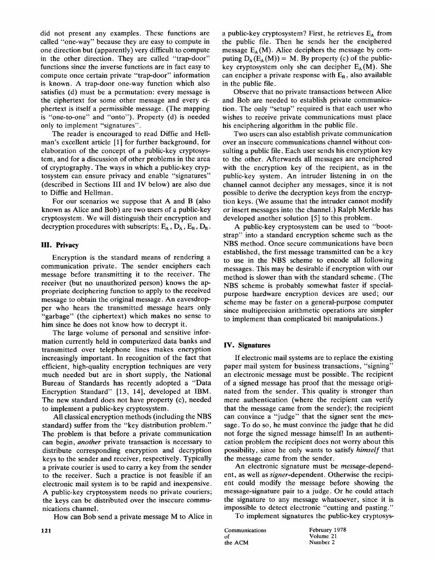did not present any examples. These functions are did not present any examples. These functions are called "one-way" because they are easy to compute in one direction but (apparently) very difficult to compute in the other direction. They are called "trap-door" functions since the inverse functions are in fact easy to compute once certain private "trap-door" information is known. A trap-door one-way function which also satisfies (d) must be a permutation: every message is the ciphertext for some other message and every ciphertext is itself a permissible message. (The mapping is "one-to-one" and "onto"). Property (d) is needed only to implement "signatures".

The reader is encouraged to read Diffie and Hellman's excellent article [1] for further background, for elaboration of the concept of a public-key cryptosystem, and for a discussion of other problems in the area of cryptography. The ways in which a public-key cryptosystem can ensure privacy and enable "signatures" (described in Sections III and IV below) are also due<br>to Diffie and Hellman.  $P$ -during a and Hellman.

For our scenarios we suppose that A and B (also known as Alice and Bob) are two users of a public-key cryptosystem. We will distinguish their encryption and<br>decryption procedures with subscripts:  $E_A$ ,  $D_A$ ,  $E_B$ ,  $D_B$ .

## III. **Privacy**

 $\mathbb{R}$  . The standard means of rendering and  $\mathbb{R}$ Encryption is the standard means of rendering a communication private. The sender enciphers each message before transmitting it to the receiver. The receiver (but no unauthorized person) knows the appropriate deciphering function to apply to the received message to obtain the original message. An eavesdropper who hears the transmitted message hears only "garbage" (the ciphertext) which makes no sense to him since he does not know how to decrypt it.

The large volume of personal and sensitive information currently held in computerized data banks and transmitted over telephone lines makes encryption increasingly important. In recognition of the fact that efficient, high-quality encryption techniques are very much needed but are in short supply, the National Bureau of Standards has recently adopted a "Data" Encryption Standard" [13, 14], developed at IBM. The new standard does not have property  $(c)$ , needed. to implement a public-key cryptosystem.

All classical encryption methods (including the NBS standard) suffer from the "key distribution problem." The problem is that before a private communication can begin, *another* private transaction is necessary to distribute corresponding encryption and decryption keys to the sender and receiver, respectively. Typically a private courier is used to carry a key from the sender to the receiver. Such a practice is not feasible if an electronic mail system is to be rapid and inexpensive. A public-key cryptosystem needs no private couriers; the keys can be distributed over the insecure communications channel.<br>How can Bob send a private message M to Alice in

a public-key cryptosystem? First, he retrieves leads to retrieve  $\mathbb{R}^n$ a public-key cryptosystem? First, he retrieves  $E_A$  from the public file. Then he sends her the enciphered message  $E_A(M)$ . Alice deciphers the message by computing  $D_A(E_A(M)) = M$ . By property (c) of the publickey cryptosystem only she can decipher  $E_A(M)$ . She can encipher a private response with  $E_B$ , also available in the public file.

Observe that no private transactions between Alice and Bob are needed to establish private communication. The only "setup" required is that each user who wishes to receive private communications must place his enciphering algorithm in the public file.

Two users can also establish private communication over an insecure communications channel without consulting a public file. Each user sends his encryption key to the other. Afterwards all messages are enciphered with the encryption key of the recipient, as in the public-key system. An intruder listening in on the channel cannot decipher any messages, since it is not possible to derive the decryption keys from the encryption keys. (We assume that the intruder cannot modify or insert messages into the channel.) Ralph Merkle has developed another solution [5] to this problem.

A public-key cryptosystem can be used to "bootstrap" into a standard encryption scheme such as the NBS method. Once secure communications have been established, the first message transmitted can be a key to use in the NBS scheme to encode all following messages. This may be desirable if encryption with our method is slower than with the standard scheme. (The NBS scheme is probably somewhat faster if specialpurpose hardware encryption devices are used; our scheme may be faster on a general-purpose computer since multiprecision arithmetic operations are simpler to implement than complicated bit manipulations.)

### **IV. Signatures**

 $\blacksquare$  electronic matrix are to replace the existing are to replace the existing  $\blacksquare$ If electronic mail systems are to replace the existing paper mail system for business transactions, "signing" an electronic message must be possible. The recipient of a signed message has proof that the message originated from the sender. This quality is stronger than mere authentication (where the recipient can verify that the message came from the sender); the recipient can convince a "judge" that the signer sent the message. To do so, he must convince the judge that he did not forge the signed message himself! In an authentication problem the recipient does not worry about this possibility, since he only wants to satisfy himself that the message came from the sender.

An electronic signature must be *message*-dependent, as well as *signer*-dependent. Otherwise the recipient could modify the message before showing the message-signature pair to a judge. Or he could attach the signature to any message whatsoever, since it is impossible to detect electronic "cutting and pasting."<br>To implement signatures the public-key cryptosys-

| Communications | February 1978 |
|----------------|---------------|
| оf             | Volume 21     |
| the ACM        | Number 2      |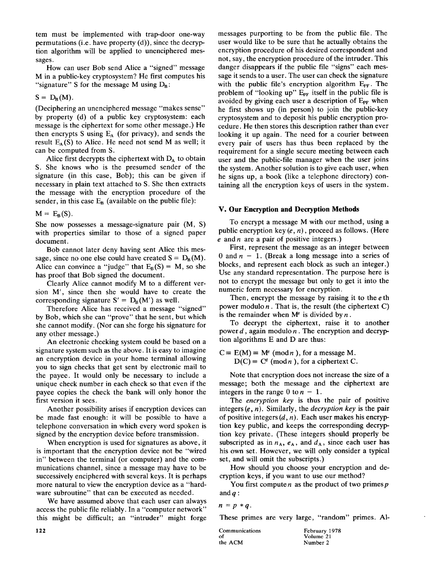tem must be implemented with trap-door onepermutations (i.e. have property  $(d)$ ), since the decryption algorithm will be applied to unenciphered messages.  $sages.$ 

How can user Bob send Alice a "signed" mess M in a public-key cryptosystem? He first computes his "signature" S for the message M using  $D_R$ :

$$
S = D_B(M).
$$

 $\mathcal{L}_{\text{B}}(m)$ . (Deciphering an unenciphered message "makes sense" by property (d) of a public key cryptosystem: each message is the ciphertext for some other message.) He then encrypts S using  $E_A$  (for privacy), and sends the result  $E_A(S)$  to Alice. He need not send M as well; it can be computed from S.

Alice first decrypts the ciphertext with  $D_A$  to obtain S. She knows who is the presumed sender of the signature (in this case, Bob); this can be given if necessary in plain text attached to S. She then extracts the message with the encryption procedure of the sender, in this case  $E_B$  (available on the public file):

 $\mathcal{L}_{\mathbf{B}}(\omega)$ . She now possesses a message-signature pair  $(M, S)$ with properties similar to those of a signed paper document.  $\alpha$  cannot later density  $\alpha$ 

Bob cannot later deny having sent Alice this r sage, since no one else could have created  $S = D_B(M)$ . Alice can convince a "judge" that  $E_B(S) = M$ , so she has proof that Bob signed the document.

Clearly Alice cannot modify M to a different version  $M'$ , since then she would have to create the corresponding signature  $S' = D_B(M')$  as well.

Therefore Alice has received a message "signed" by Bob, which she can "prove" that he sent, but which she cannot modify. (Nor can she forge his signature for any other message.)

An electronic checking system could be based on a signature system such as the above. It is easy to imagine an encryption device in your home terminal allowing you to sign checks that get sent by electronic mail to the payee. It would only be necessary to include a unique check number in each check so that even if the payee copies the check the bank will only honor the first version it sees.

Another possibility arises if encryption devices can be made fast enough: it will be possible to have a telephone conversation in which every word spoken is signed by the encryption device before transmission.

When encryption is used for signatures as above, it is important that the encryption device not be "wired" in" between the terminal (or computer) and the communications channel, since a message may have to be successively enciphered with several keys. It is perhaps more natural to view the encryption device as a "hardware subroutine" that can be executed as needed.

We have assumed above that each user can always access the public file reliably. In a "computer network" this might be difficult; an "intruder" might forge messages purporting to be from the public file. The user would like to be sure that he actually obtains the encryption procedure of his desired correspondent and not, say, the encryption procedure of the intruder. This danger disappears if the public file "signs" each message it sends to a user. The user can check the signature with the public file's encryption algorithm  $E_{\text{PF}}$ . The problem of "looking up"  $E_{PF}$  itself in the public file is avoided by giving each user a description of  $E_{\text{PF}}$  when he first shows up (in person) to join the public-key cryptosystem and to deposit his public encryption procedure. He then stores this description rather than ever looking it up again. The need for a courier between every pair of users has thus been replaced by the requirement for a single secure meeting between each user and the public-file manager when the user joins the system. Another solution is to give each user, when he signs up, a book (like a telephone directory) containing all the encryption keys of users in the system.

# **V. Our Encryption and Decryption Methods**

To encory message M with our message message message method, using a message method, using a message method, u<br>The contract of the contract of the contract of the contract of the contract of the contract of the contract o I o encrypt a message M with our method, usin public encryption key  $(e, n)$ , proceed as follows. (Here e and *n* are a pair of positive integers.)

First, represent the message as an integer between 0 and  $n - 1$ . (Break a long message into a series of blocks, and represent each block as such an integer.) Use any standard representation. The purpose here is not to encrypt the message but only to get it into the numeric form necessary for encryption.

Then, encrypt the message by raising it to the  $e$  th power modulo  $n$ . That is, the result (the ciphertext C) is the remainder when  $M<sup>e</sup>$  is divided by n.

To decrypt the ciphertext, raise it to another power  $d$ , again modulo  $n$ . The encryption and decryption algorithms E and D are thus:

C -- E(M) -= M e (mod n ), for a message M.  $C = E(M) = M^e \pmod{n}$ , for a message M.<br>D(C) = C<sup>d</sup> (mod *n*), for a ciphertext C.

Note that encryption does not increase the size of a message; both the message and the ciphertext are integers in the range  $0 \text{ to } n-1$ .

The *encryption key* is thus the pair of positive integers  $(e, n)$ . Similarly, the *decryption key* is the pair of positive integers  $(d, n)$ . Each user makes his encryption key public, and keeps the corresponding decryption key private. (These integers should properly be.) subscripted as in  $n_A$ ,  $e_A$ , and  $d_A$ , since each user has his own set. However, we will only consider a typical set, and will omit the subscripts.)

How should you choose your encryption and de-

cryption keys, if you want to use our method?<br>You first compute  $n$  as the product of two primes  $p$ *n=p\*q.* 

$$
n=p*q.
$$

 $T = T$ 

| Communications | February 1978 |
|----------------|---------------|
| Ωf             | Volume 21     |
| the ACM        | Number 2      |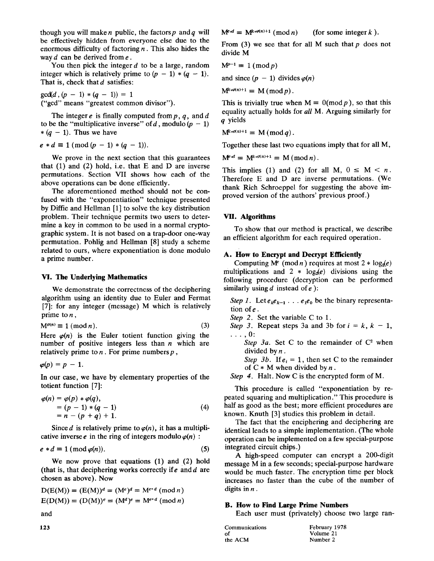though you will make *n* public, the factors  $p$  and  $q$  will  $\log n$  you whith and *h* public, the factors  $p$  and  $q$  white be encenvery moden from everyone else due to the enormous difficulty of factoring  $n$ . This also hides the way  $d$  can be derived from  $e$ .

You then pick the integer  $d$  to be a large, random integer which is relatively prime to  $(p - 1) * (q - 1)$ . That is, check that  $d$  satisfies:

 $gcd(d, (p - 1) * (q - 1)) = 1$ ("gcd" means "greatest common divisor").

The integer  $e$  is finally computed from  $p$ ,  $q$ , and  $d$ the integer  $e$  is many computed from  $p, q$ , and  $u$  $\frac{1}{2}$   $\frac{1}{2}$ . Thus we have

 $e * d \equiv 1 \pmod{p-1} * (q-1).$ 

where the next section that the next section that the next section that the next section that the next section<br>This guarantees are the next section to the next section that the next section that the next section that the we prove in the next section that this guarantees that (1) and (2) hold, i.e. that E and D are inverse<br>permutations. Section VII shows how each of the above operations can be done efficiently.  $T_{\text{L}}$  and  $T_{\text{L}}$  and  $T_{\text{L}}$  is being contributions of  $T_{\text{L}}$  is become con-

fused with the technique method should not be confused with the "exponentiation" technique presented<br>by Diffie and Hellman [1] to solve the key distribution problem. Their technique permits two users to determine a key in common to be used in a normal cryptographic system. It is not based on a trap-door one-way  $p_{\text{a}}$  graphic system. It is not based on a trap-door one-way permutation. I only and rienman [o] study a seneme related to ours, where exponentiation is done modulo a prime number.

#### **VI. The Underlying Mathematics**

We demonstrate the correctness of the deciphering algorithm using an identity due to Euler and Fermat [7]: for any integer (message) M which is relatively prime to  $n$ ,

$$
M^{\varphi(n)} \equiv 1 \pmod{n}.
$$
 (3)

 $\mathbf{H} = 1$ (now  $\mathbf{H}$ ) is the Euler totient function giving the Euler totient function giving the Euler totient function giving the Euler totient function giving the Euler totient function giving  $\mathbf{H} = 1$ nere  $\varphi(n)$  is the earer totient function giving the number of positive integers less than *n* which are relatively prime to *n*. For prime numbers  $p$ ,

$$
\varphi(p)=p-1.
$$

In our case, we have by elementary properties of the  $\frac{1}{10}$  but case, we have

$$
\varphi(n) = \varphi(p) * \varphi(q), \n= (p - 1) * (q - 1) \n= n - (p + q) + 1.
$$
\n(4)

Since d is relatively prime to  $\varphi(n)$ , it has a multiplicative inverse *e* in the ring of integers modulo  $\varphi(n)$ :

$$
e * d \equiv 1 \pmod{\varphi(n)}.
$$
 (5)

 $W$  now prove that equations (1) and (2) holds (2) holds (2) holds (2) holds (2) holds (2) holds (2) holds (2) holds (2)  $\frac{1}{2}$  and (2)  $\frac{1}{2}$  and (2)  $\frac{1}{2}$  and (2)  $\frac{1}{2}$  and (2)  $\frac{1}{2}$  and (2)  $\frac{1}{2}$  we now prove that equations  $(t)$  and  $(z)$  noid (that is, that deciphering works correctly if  $e$  and  $d$  are chosen as above). Now

$$
D(E(M)) = (E(M))^d \equiv (M^e)^d \equiv M^{e \cdot d} \pmod{n}
$$
  

$$
E(D(M)) \equiv (D(M))^e \equiv (M^d)^e \equiv M^{e \cdot d} \pmod{n}
$$

and 123

 $M^{e,d} \equiv M^{k \cdot \varphi(n)+1}$  (mod *n*) (for some integer *k*).

From  $(3)$  we see that for all M such that p does not divide M

$$
M^{p-1} \equiv 1 \pmod{p}
$$

and since  $(p - 1)$  divides  $\varphi(n)$ 

 $M^{k \neq n+1} \equiv M (mod p)$ .

This is trivially true when  $M = 0 \pmod{p}$ , so that this equality actually holds for *all* M. Arguing similarly for q yields

$$
M^{k \cdot \varphi(n)+1} \equiv M \pmod{q}.
$$

Together these last two equations imply that for all M,

 $M^{e,d} \equiv M^{k \cdot \varphi(n)+1} \equiv M \pmod{n}.$ 

This implies (1) and (2) for all M,  $0 \le M < n$ . Therefore E and D are inverse permutations. (We thank Rich Schroeppel for suggesting the above improved version of the authors' previous proof.)

#### **VII. Algorithms**

To show that our method is practical, we describe an efficient algorithm for each required operation.

#### **A. How to Encrypt and Decrypt Efficiently**

 $\sum_{i=1}^{\infty}$  and  $\sum_{i=1}^{\infty}$  requires at  $\sum_{i=1}^{\infty}$ Companing  $\mathbf{w}$  (mod *n*) requires at most  $2 \cdot \log_2(\mathbf{r})$  $\frac{1}{2}$  for  $\frac{1}{2}$  for  $\frac{1}{2}$  for  $\frac{1}{2}$  can be performed as performed as performed as performed as  $\frac{1}{2}$ ionowing procedure (decrypti

*Step 1.* Let ehek-i • • • ele0 be the binary representa- $\sum_{i=1}^{\infty}$ *Step 2.* Set the variable C to 1.

*Step 3.* Repeat steps 3a and 3b for  $i = k, k - 1$ , ...,O:

*Step 3a.* Set C to the remainder of C 2 when  $\frac{\partial}{\partial u}$  by  $\frac{\partial}{\partial u}$ 

divided by *n*.<br>*Step 3b.* If  $e_i = 1$ , then set C to the remainder of  $C * M$  when divided by n.

*Step 4.* Halt. Now C is the encrypted form of M.

 $\sigma$ procedure is called exponentiation by repeated squaring and multiplication." This procedure is half as good as the best; more efficient procedures are known. Knuth [3] studies this problem in detail.

The fact that the enciphering and deciphering are identical leads to a simple implementation. (The whole operation can be implemented on a few special-purpose<br>integrated circuit chips.)  $\frac{1}{2}$  and computer computer can encoder can encoder a  $200-11$ 

 $\mathcal{M}$  ingu-special computer can cherry a zoo-digit message M in a few seconds; special-purpose hardware would be much faster. The encryption time per block increases no faster than the cube of the number of digits in  $n$ .

#### **B. How to Find Large Prime Numbers**

Each user must (privately) choose two large **ran-**

| Communications | February 1978 |
|----------------|---------------|
| nf             | Volume 21     |
| the ACM        | Number 2      |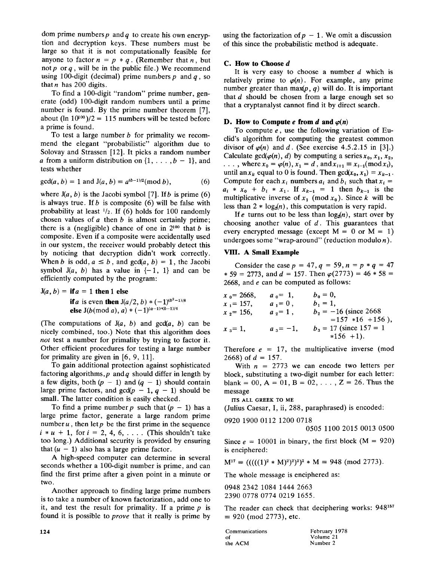dom prime numbers  $p$  and  $q$  to create his own encryption and decryption keys. These numbers must be large so that it is not computationally feasible for anyone to factor  $n = p * q$ . (Remember that n, but not p or q, will be in the public file.) We recommend using 100-digit (decimal) prime numbers p and q, so that  $n$  has 200 digits.

To find a 100-digit "random" prime number, generate (odd) 100-digit random numbers until a prime number is found. By the prime number theorem  $[7]$ , about (ln  $10^{100}$ )/2 = 115 numbers will be tested before a prime is found.

To test a large number  $b$  for primality we recommend the elegant "probabilistic" algorithm due to Solovay and Strassen [12]. It picks a random number a from a uniform distribution on  $\{1, \ldots, b-1\}$ , and  $\mathcal{L} = \mathcal{L} \mathcal{L} \mathcal{L} \mathcal{L} \mathcal{L} \mathcal{L} \mathcal{L} \mathcal{L} \mathcal{L} \mathcal{L} \mathcal{L} \mathcal{L} \mathcal{L} \mathcal{L} \mathcal{L} \mathcal{L} \mathcal{L} \mathcal{L} \mathcal{L} \mathcal{L} \mathcal{L} \mathcal{L} \mathcal{L} \mathcal{L} \mathcal{L} \mathcal{L} \mathcal{L} \mathcal{L} \mathcal{L} \mathcal{L} \mathcal{L} \mathcal{L} \mathcal{L} \mathcal{L} \mathcal{L} \mathcal$ 

$$
gcd(a, b) = 1
$$
 and  $J(a, b) = a^{(b-1)/2} \pmod{b}$ , (6)

where  $J(a, b)$  is the Jacobi symbol [7]. If b is prime (6) is always true. If  $b$  is composite (6) will be false with probability at least  $\frac{1}{2}$ . If (6) holds for 100 randomly chosen values of  $a$  then  $b$  is almost certainly prime; there is a (negligible) chance of one in  $2^{100}$  that b is composite. Even if a composite were accidentally used in our system, the receiver would probably detect this by noticing that decryption didn't work correctly. When b is odd,  $a \leq b$ , and  $gcd(a, b) = 1$ , the Jacobi symbol  $J(a, b)$  has a value in  $\{-1, 1\}$  and can be efficiently computed by the program: **J(a, b) = ifa = 1 then 1 else** 

$$
J(a, b) = if a = 1 then 1 else
$$

**if** a is even **then**  $J(a/2, b) * (-1)^{(b^2-1)/8}$ <br>**else**  $J(b \pmod{a}, a) * (-1)^{(a-1) \times (b-1)/4}$  $\sum_{i=1}^{n}$ 

(The computations of  $J(a, b)$  and  $gcd(a, b)$  can be nicely combined, too.) Note that this algorithm does not test a number for primality by trying to factor it. Other efficient procedures for testing a large number for primality are given in  $[6, 9, 11]$ .

To gain additional protection against sophisticated factoring algorithms,  $p$  and  $q$  should differ in length by a few digits, both  $(p - 1)$  and  $(q - 1)$  should contain large prime factors, and  $gcd(p - 1, q - 1)$  should be small. The latter condition is easily checked.

To find a prime number p such that  $(p - 1)$  has a large prime factor, generate a large random prime number  $u$ , then let  $p$  be the first prime in the sequence  $i * u + 1$ , for  $i = 2, 4, 6, \ldots$  (This shouldn't take too long.) Additional security is provided by ensuring that  $(u - 1)$  also has a large prime factor.

A high-speed computer can determine in several seconds whether a 100-digit number is prime, and can find the first prime after a given point in a minute or Another approach to finding large prime numbers

Another approach to finding large prime numbers is to take a number of known factorization, add one to it, and test the result for primality. If a prime  $p$  is found it is possible to *prove* that it really is prime by using the factorization of  $p - 1$ . We omit a discussion of this since the probabilistic method is adequate.

### C. How to Choose d

It is very easy to choose a number  $d$  which is relatively prime to  $\varphi(n)$ . For example, any prime number greater than  $\max(p, q)$  will do. It is important that  $d$  should be chosen from a large enough set so that a cryptanalyst cannot find it by direct search.

## D. How to Compute e from d and  $\varphi(n)$

To compute  $e$ , use the following variation of Euclid's algorithm for computing the greatest common divisor of  $\varphi(n)$  and d. (See exercise 4.5.2.15 in [3].) Calculate  $gcd(\varphi(n), d)$  by computing a series  $x_0, x_1, x_2$ ,  $\ldots$ , where  $x_0 = \varphi(n)$ ,  $x_1 = d$ , and  $x_{i+1} \equiv x_{i-1}(\text{mod }x_i)$ , until an  $x_k$  equal to 0 is found. Then  $gcd(x_0, x_1) = x_{k-1}$ . Compute for each  $x_i$  numbers  $a_i$  and  $b_i$  such that  $x_i =$  $a_i * x_0 + b_i * x_1$ . If  $x_{k-1} = 1$  then  $b_{k-1}$  is the multiplicative inverse of  $x_1 \pmod{x_0}$ . Since k will be less than  $2 * log<sub>2</sub>(n)$ , this computation is very rapid.

If e turns out to be less than  $log_2(n)$ , start over by choosing another value of  $d$ . This guarantees that every encrypted message (except  $M = 0$  or  $M = 1$ ). undergoes some "wrap-around" (reduction modulo *n*).

# Consider the case  $\mathbf{f}$

Consider the case  $p = 47, q = 59, n = p * q = 47$  $* 59 = 2773$ , and  $d = 157$ . Then  $\varphi(2773) = 46 * 58 =$ 2668, and e can be computed as follows:  $\frac{1}{1}$ 

| $x_0 = 2668$       | $a_0 = 1$  | $b_0 = 0$                 |
|--------------------|------------|---------------------------|
| $x_1 = 157$        | $a_1 = 0$  | $b_1 = 1$                 |
| $x_2 = 156$        | $a_2 = 1$  | $b_2 = -16$ (since 2668   |
| $= 157 * 16 + 156$ |            |                           |
| $x_3 = 1$          | $a_3 = -1$ | $b_3 = 17$ (since 157 = 1 |
| $*156 + 1$         |            |                           |

Therefore  $e = 17$ , the multiplicative inverse (mod 2668) of  $d = 157$ .

With  $n = 2773$  we can encode two-letters per block, substituting a two-digit number for each letter: blank = 00, A = 01, B = 02, ..., Z = 26. Thus the message

ITS ALL GREEK TO ME

(Julius Caesar, I, ii, 288, paraphrased) is encoded:<br>0920 1900 0112 1200 0718

050 1100 2015 1100 2015 1100 2015 1100 2015 1100 2015 1100 2015 1100 2015 1100 2015 1100 2015 1100 2015 1100 20

 $S_{\rm eff}$  in binary, the first block (M  $_{\rm eff}$  ) in binary, the first block (M  $_{\rm eff}$  ) in binary, the first block (M  $_{\rm eff}$ 

Since  $e = 10001$  in binary, the first block (M = 920)  $M$   $\alpha$   $\beta$ 

 $T_{\text{min}}$  message is encomposite in the message is encomposite in the message is encomposite in the message is encomposite in the message in the message is encomposite in the message in the message in the message in the m

The whole message is enciphered as:

0948 2342 1084 1444 2663  $T_{\rm eff}$  and  $T_{\rm eff}$  that deciphering works: 948  $T_{\rm eff}$ 

The reader can check that deciphering works: 948<sup>157</sup>  $\equiv$  920 (mod 2773), etc.

| Communications | February 1 |
|----------------|------------|
| .nf            | Volume 21  |
| the ACM        | Number 2   |

February 1978 Number 2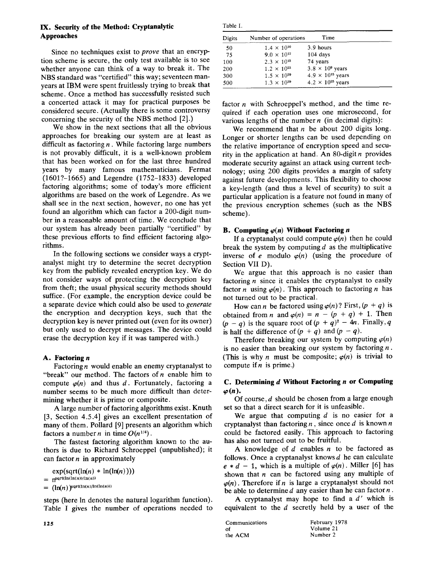# **IX. Security of the Method: Cryptanalytic Approaches**

Since no techniques exist to *prove* that an encryption scheme is secure, the only test available is to see whether anyone can think of a way to break it. The NBS standard was "certified" this way; seventeen manyears at IBM were spent fruitlessly trying to break that scheme. Once a method has successfully resisted such a concerted attack it may for practical purposes be considered secure. (Actually there is some controversy concerning the security of the NBS method [2].)

We show in the next sections that all the obvious approaches for breaking our system are at least as difficult as factoring  $n$ . While factoring large numbers is not provably difficult, it is a well-known problem that has been worked on for the last three hundred years by many famous mathematicians. Fermat (1601?-1665) and Legendre (1752-1833) developed factoring algorithms; some of today's more efficient algorithms are based on the work of Legendre. As we shall see in the next section, however, no one has yet found an algorithm which can factor a 200-digit number in a reasonable amount of time. We conclude that our system has already been partially "certified" by these previous efforts to find efficient factoring algorithms.

In the following sections we consider ways a cryptanalyst might try to determine the secret decryption key from the publicly revealed encryption key. We do not consider ways of protecting the decryption key from theft; the usual physical security methods should suffice. (For example, the encryption device could be a separate device which could also be used to *generate*  the encryption and decryption keys, such that the decryption key is never printed out (even for its owner) but only used to decrypt messages. The device could erase the decryption key if it was tampered with.)

# **A. Factoring n**

Factoring  $n$  would enable an enemy cryptanalyst to "break" our method. The factors of  $n$  enable him to compute  $\varphi(n)$  and thus d. Fortunately, factoring a number seems to be much more difficult than determining whether it is prime or composite.

A large number of factoring algorithms exist. Knuth [3, Section 4.5.4] gives an excellent presentation of many of them. Pollard [9] presents an algorithm which factors a number *n* in time  $O(n^{1/4})$ .

The fastest factoring algorithm known to the authors is due to Richard Schroeppel (unpublished); it can factor  $n$  in approximately

 $exp(sqrt(\ln(n) * \ln(\ln(n))))$  $=$   $\mathbf{r}$ <sup>sqrt(ln(ln(n))</sup>/ln(n))

 $=$   $(\ln(n))$ <sup>sqrt(ln(n)</sup>/ln(ln(n)))

steps (here In denotes the natural logarithm function). Table I gives the number of operations needed to

| ۰. | × |
|----|---|

| Digits | Number of operations | Time                       |  |
|--------|----------------------|----------------------------|--|
| 50     | $1.4 \times 10^{10}$ | 3.9 hours                  |  |
| 75     | $9.0 \times 10^{12}$ | $104$ days                 |  |
| 100    | $2.3 \times 10^{15}$ | 74 years                   |  |
| 200    | $1.2 \times 10^{23}$ | $3.8 \times 10^9$ years    |  |
| 300    | $1.5 \times 10^{29}$ | $4.9 \times 10^{15}$ years |  |
| 500    | $1.3 \times 10^{39}$ | $4.2 \times 10^{25}$ years |  |

factor  $n$  with Schroeppel's method, and the time required if each operation uses one microsecond, for various lengths of the number  $n$  (in decimal digits):

We recommend that  $n$  be about 200 digits long. Longer or shorter lengths can be used depending on the relative importance of encryption speed and security in the application at hand. An 80-digit  $n$  provides moderate security against an attack using current technology; using 200 digits provides a margin of safety against future developments. This flexibility to choose a key-length (and thus a level of security) to suit a particular application is a feature not found in many of the previous encryption schemes (such as the NBS scheme).

# **B.** Computing  $\varphi(n)$  Without Factoring *n*

If a cryptanalyst could compute  $\varphi(n)$  then he could break the system by computing  $d$  as the multiplicative inverse of e modulo  $\varphi(n)$  (using the procedure of Section VII D).

We argue that this approach is no easier than factoring  $n$  since it enables the cryptanalyst to easily factor *n* using  $\varphi(n)$ . This approach to factoring *n* has not turned out to be practical.

How can *n* be factored using  $\varphi(n)$ ? First,  $(p + q)$  is obtained from *n* and  $\varphi(n) = n - (p + q) + 1$ . Then  $(p - q)$  is the square root of  $(p + q)^2 - 4n$ . Finally, q is half the difference of  $(p + q)$  and  $(p - q)$ .

Therefore breaking our system by computing  $\varphi(n)$ is no easier than breaking our system by factoring  $n$ . (This is why *n* must be composite;  $\varphi(n)$  is trivial to compute if  $n$  is prime.)

# **C. Determining d Without Factoring n or Computing**   $\varphi(n)$ .

Of course, d should be chosen from a large enough set so that a direct search for it is unfeasible.

We argue that computing  $d$  is no easier for a cryptanalyst than factoring n, since once d is known n could be factored easily. This approach to factoring has also not turned out to be fruitful.

A knowledge of  $d$  enables  $n$  to be factored as follows. Once a cryptanalyst knows  $d$  he can calculate  $e * d - 1$ , which is a multiple of  $\varphi(n)$ . Miller [6] has shown that  $n$  can be factored using any multiple of  $\varphi(n)$ . Therefore if n is large a cryptanalyst should not be able to determine  $d$  any easier than he can factor  $n$ .

A cryptanalyst may hope to find a  $d'$  which is equivalent to the  $d$  secretly held by a user of the

**125 Communications** February 1978<br> **125 Communications** February 1978 the ACM